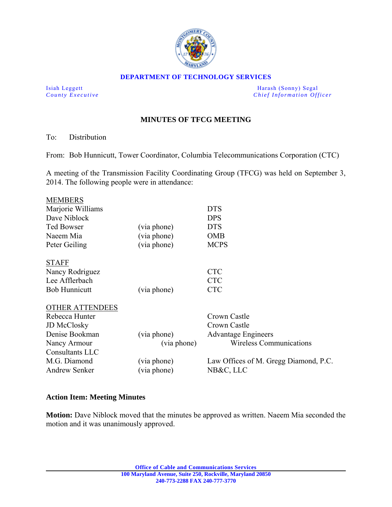

#### **DEPARTMENT OF TECHNOLOGY SERVICES**

Isiah Leggett Harash (Sonny) Segal *County Executive* **County**  $\overline{C}$  *Chief Information Officer* 

# **MINUTES OF TFCG MEETING**

To: Distribution

From: Bob Hunnicutt, Tower Coordinator, Columbia Telecommunications Corporation (CTC)

A meeting of the Transmission Facility Coordinating Group (TFCG) was held on September 3, 2014. The following people were in attendance:

|             | <b>DTS</b>                            |
|-------------|---------------------------------------|
|             | <b>DPS</b>                            |
| (via phone) | <b>DTS</b>                            |
| (via phone) | <b>OMB</b>                            |
| (via phone) | <b>MCPS</b>                           |
|             |                                       |
|             | <b>CTC</b>                            |
|             | <b>CTC</b>                            |
| (via phone) | <b>CTC</b>                            |
|             |                                       |
|             | Crown Castle                          |
|             | Crown Castle                          |
| (via phone) | <b>Advantage Engineers</b>            |
| (via phone) | <b>Wireless Communications</b>        |
|             |                                       |
| (via phone) | Law Offices of M. Gregg Diamond, P.C. |
| (via phone) | NB&C, LLC                             |
|             |                                       |

#### **Action Item: Meeting Minutes**

**Motion:** Dave Niblock moved that the minutes be approved as written. Naeem Mia seconded the motion and it was unanimously approved.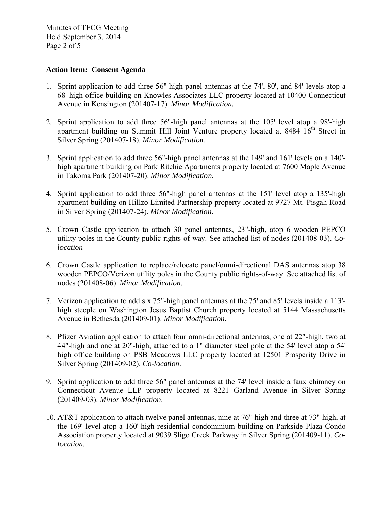Minutes of TFCG Meeting Held September 3, 2014 Page 2 of 5

### **Action Item: Consent Agenda**

- 1. Sprint application to add three 56"-high panel antennas at the 74', 80', and 84' levels atop a 68ꞌ-high office building on Knowles Associates LLC property located at 10400 Connecticut Avenue in Kensington (201407-17). *Minor Modification.*
- 2. Sprint application to add three 56"-high panel antennas at the 105' level atop a 98'-high apartment building on Summit Hill Joint Venture property located at 8484 16<sup>th</sup> Street in Silver Spring (201407-18). *Minor Modification.*
- 3. Sprint application to add three 56"-high panel antennas at the 149' and 161' levels on a 140'high apartment building on Park Ritchie Apartments property located at 7600 Maple Avenue in Takoma Park (201407-20). *Minor Modification.*
- 4. Sprint application to add three 56"-high panel antennas at the 151' level atop a 135'-high apartment building on Hillzo Limited Partnership property located at 9727 Mt. Pisgah Road in Silver Spring (201407-24). *Minor Modification*.
- 5. Crown Castle application to attach 30 panel antennas, 23"-high, atop 6 wooden PEPCO utility poles in the County public rights-of-way. See attached list of nodes (201408-03). *Colocation*
- 6. Crown Castle application to replace/relocate panel/omni-directional DAS antennas atop 38 wooden PEPCO/Verizon utility poles in the County public rights-of-way. See attached list of nodes (201408-06). *Minor Modification*.
- 7. Verizon application to add six 75"-high panel antennas at the 75' and 85' levels inside a 113'high steeple on Washington Jesus Baptist Church property located at 5144 Massachusetts Avenue in Bethesda (201409-01). *Minor Modification*.
- 8. Pfizer Aviation application to attach four omni-directional antennas, one at 22"-high, two at 44"-high and one at 20"-high, attached to a 1" diameter steel pole at the 54' level atop a 54' high office building on PSB Meadows LLC property located at 12501 Prosperity Drive in Silver Spring (201409-02). *Co-location*.
- 9. Sprint application to add three 56" panel antennas at the 74' level inside a faux chimney on Connecticut Avenue LLP property located at 8221 Garland Avenue in Silver Spring (201409-03). *Minor Modification*.
- 10. AT&T application to attach twelve panel antennas, nine at 76"-high and three at 73"-high, at the 169' level atop a 160'-high residential condominium building on Parkside Plaza Condo Association property located at 9039 Sligo Creek Parkway in Silver Spring (201409-11). *Colocation*.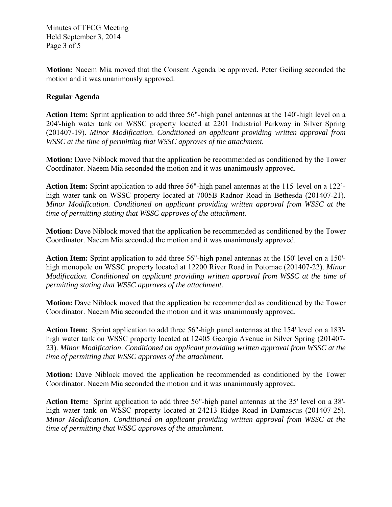Minutes of TFCG Meeting Held September 3, 2014 Page 3 of 5

**Motion:** Naeem Mia moved that the Consent Agenda be approved. Peter Geiling seconded the motion and it was unanimously approved.

## **Regular Agenda**

Action Item: Sprint application to add three 56"-high panel antennas at the 140'-high level on a 204'-high water tank on WSSC property located at 2201 Industrial Parkway in Silver Spring (201407-19). *Minor Modification*. *Conditioned on applicant providing written approval from WSSC at the time of permitting that WSSC approves of the attachment.* 

**Motion:** Dave Niblock moved that the application be recommended as conditioned by the Tower Coordinator. Naeem Mia seconded the motion and it was unanimously approved.

Action Item: Sprint application to add three 56"-high panel antennas at the 115' level on a 122'high water tank on WSSC property located at 7005B Radnor Road in Bethesda (201407-21). *Minor Modification. Conditioned on applicant providing written approval from WSSC at the time of permitting stating that WSSC approves of the attachment.* 

**Motion:** Dave Niblock moved that the application be recommended as conditioned by the Tower Coordinator. Naeem Mia seconded the motion and it was unanimously approved.

**Action Item:** Sprint application to add three 56"-high panel antennas at the 150' level on a 150'high monopole on WSSC property located at 12200 River Road in Potomac (201407-22). *Minor Modification*. *Conditioned on applicant providing written approval from WSSC at the time of permitting stating that WSSC approves of the attachment.*

**Motion:** Dave Niblock moved that the application be recommended as conditioned by the Tower Coordinator. Naeem Mia seconded the motion and it was unanimously approved.

Action Item: Sprint application to add three 56"-high panel antennas at the 154' level on a 183'high water tank on WSSC property located at 12405 Georgia Avenue in Silver Spring (201407- 23). *Minor Modification*. *Conditioned on applicant providing written approval from WSSC at the time of permitting that WSSC approves of the attachment.*

**Motion:** Dave Niblock moved the application be recommended as conditioned by the Tower Coordinator. Naeem Mia seconded the motion and it was unanimously approved.

Action Item: Sprint application to add three 56"-high panel antennas at the 35' level on a 38'high water tank on WSSC property located at 24213 Ridge Road in Damascus (201407-25). *Minor Modification*. *Conditioned on applicant providing written approval from WSSC at the time of permitting that WSSC approves of the attachment.*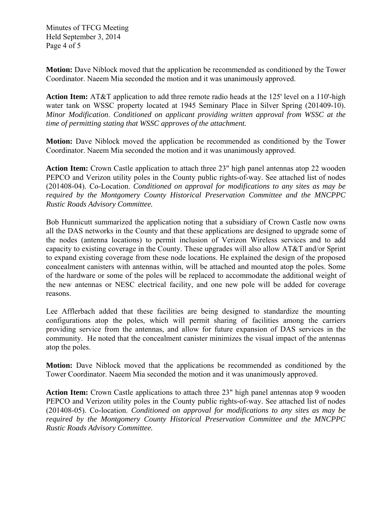Minutes of TFCG Meeting Held September 3, 2014 Page 4 of 5

**Motion:** Dave Niblock moved that the application be recommended as conditioned by the Tower Coordinator. Naeem Mia seconded the motion and it was unanimously approved.

**Action Item:** AT&T application to add three remote radio heads at the 125' level on a 110'-high water tank on WSSC property located at 1945 Seminary Place in Silver Spring (201409-10). *Minor Modification*. *Conditioned on applicant providing written approval from WSSC at the time of permitting stating that WSSC approves of the attachment.* 

**Motion:** Dave Niblock moved the application be recommended as conditioned by the Tower Coordinator. Naeem Mia seconded the motion and it was unanimously approved.

**Action Item:** Crown Castle application to attach three 23" high panel antennas atop 22 wooden PEPCO and Verizon utility poles in the County public rights-of-way. See attached list of nodes (201408-04). Co-Location. *Conditioned on approval for modifications to any sites as may be required by the Montgomery County Historical Preservation Committee and the MNCPPC Rustic Roads Advisory Committee.*

Bob Hunnicutt summarized the application noting that a subsidiary of Crown Castle now owns all the DAS networks in the County and that these applications are designed to upgrade some of the nodes (antenna locations) to permit inclusion of Verizon Wireless services and to add capacity to existing coverage in the County. These upgrades will also allow AT&T and/or Sprint to expand existing coverage from these node locations. He explained the design of the proposed concealment canisters with antennas within, will be attached and mounted atop the poles. Some of the hardware or some of the poles will be replaced to accommodate the additional weight of the new antennas or NESC electrical facility, and one new pole will be added for coverage reasons.

Lee Afflerbach added that these facilities are being designed to standardize the mounting configurations atop the poles, which will permit sharing of facilities among the carriers providing service from the antennas, and allow for future expansion of DAS services in the community. He noted that the concealment canister minimizes the visual impact of the antennas atop the poles.

**Motion:** Dave Niblock moved that the applications be recommended as conditioned by the Tower Coordinator. Naeem Mia seconded the motion and it was unanimously approved.

Action Item: Crown Castle applications to attach three 23" high panel antennas atop 9 wooden PEPCO and Verizon utility poles in the County public rights-of-way. See attached list of nodes (201408-05). Co-location. *Conditioned on approval for modifications to any sites as may be required by the Montgomery County Historical Preservation Committee and the MNCPPC Rustic Roads Advisory Committee.*